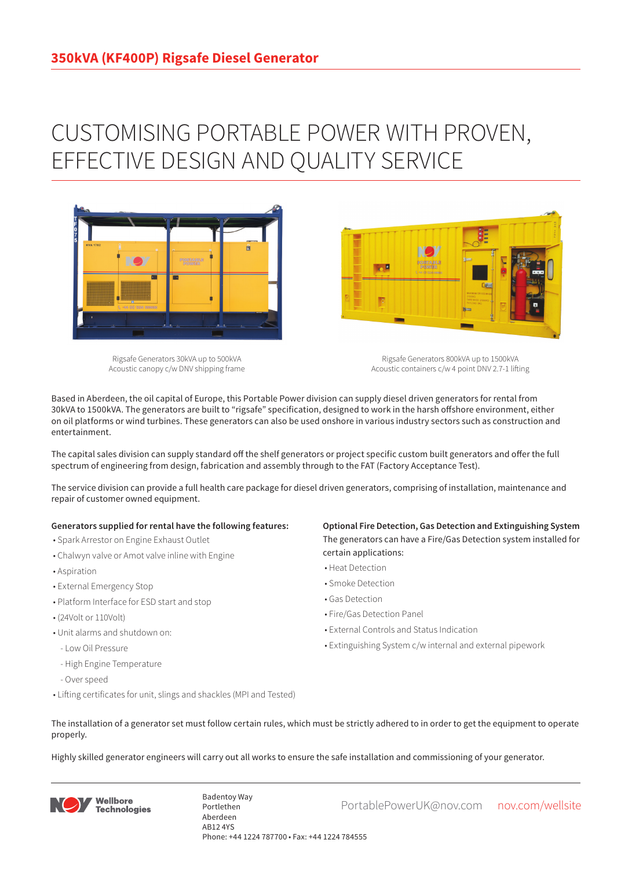## CUSTOMISING PORTABLE POWER WITH PROVEN, EFFECTIVE DESIGN AND QUALITY SERVICE



Rigsafe Generators 30kVA up to 500kVA Acoustic canopy c/w DNV shipping frame

Rigsafe Generators 800kVA up to 1500kVA Acoustic containers c/w 4 point DNV 2.7-1 lifting

Based in Aberdeen, the oil capital of Europe, this Portable Power division can supply diesel driven generators for rental from 30kVA to 1500kVA. The generators are built to "rigsafe" specification, designed to work in the harsh offshore environment, either on oil platforms or wind turbines. These generators can also be used onshore in various industry sectors such as construction and entertainment.

The capital sales division can supply standard off the shelf generators or project specific custom built generators and offer the full spectrum of engineering from design, fabrication and assembly through to the FAT (Factory Acceptance Test).

The service division can provide a full health care package for diesel driven generators, comprising of installation, maintenance and repair of customer owned equipment.

## **Generators supplied for rental have the following features:**

- Spark Arrestor on Engine Exhaust Outlet
- Chalwyn valve or Amot valve inline with Engine
- Aspiration
- External Emergency Stop
- Platform Interface for ESD start and stop
- (24Volt or 110Volt)
- Unit alarms and shutdown on:
- Low Oil Pressure
- High Engine Temperature
- Over speed
- Lifting certificates for unit, slings and shackles (MPI and Tested)

**Optional Fire Detection, Gas Detection and Extinguishing System** The generators can have a Fire/Gas Detection system installed for certain applications:

- Heat Detection
- Smoke Detection
- Gas Detection
- Fire/Gas Detection Panel

**Designation** 

- External Controls and Status Indication
- Extinguishing System c/w internal and external pipework
- The installation of a generator set must follow certain rules, which must be strictly adhered to in order to get the equipment to operate properly.

Highly skilled generator engineers will carry out all works to ensure the safe installation and commissioning of your generator.



Badentoy Way<br>PortablePowerUK@nov.com nov.com/wellsite Portlethen Aberdeen AB12 4YS Phone: +44 1224 787700 • Fax: +44 1224 784555